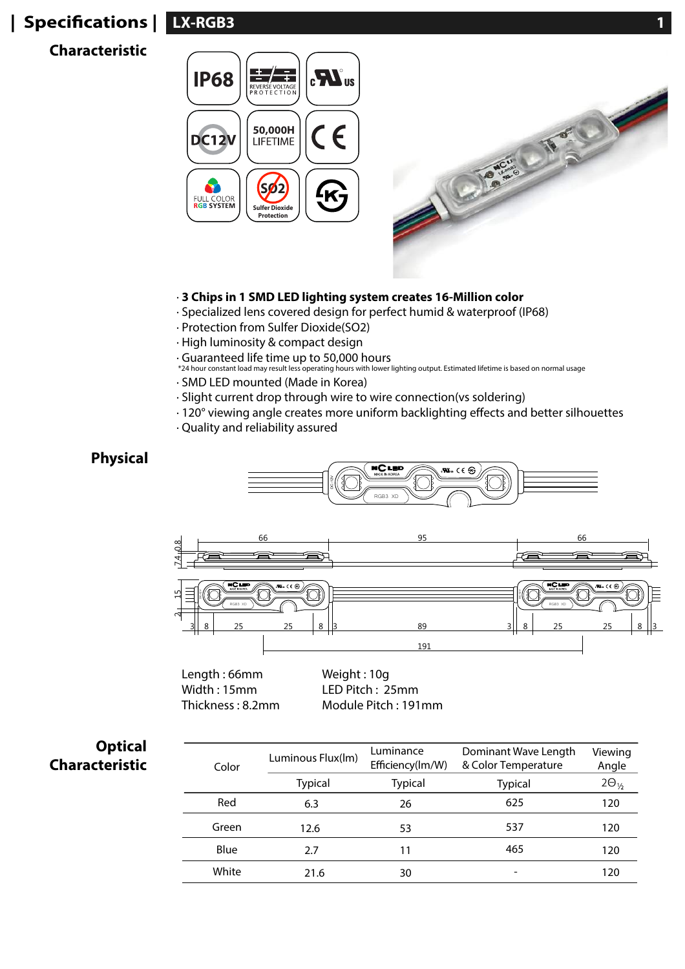# **LX-RGB3 1 | Specications |**

## **Characteristic**



### · **3 Chips in 1 SMD LED lighting system creates 16-Million color**

- · Specialized lens covered design for perfect humid & waterproof (IP68)
- · Protection from Sulfer Dioxide(SO2)
- · High luminosity & compact design
- 
- · Guaranteed life time up to 50,000 hours \*24 hour constant load may result less operating hours with lower lighting output. Estimated lifetime is based on normal usage
- · SMD LED mounted (Made in Korea)
- · Slight current drop through wire to wire connection(vs soldering)
- $\cdot$  120 $^{\circ}$  viewing angle creates more uniform backlighting effects and better silhouettes
- · Quality and reliability assured

## **Physical**





Length : 66mm Width : 15mm Thickness : 8.2mm Weight : 10g LED Pitch : 25mm Module Pitch : 191mm

| <b>Optical</b><br><b>Characteristic</b> | Color | Luminous Flux(Im) | Luminance<br>Efficiency(lm/W) | Dominant Wave Length<br>& Color Temperature | Viewing<br>Angle |  |  |  |
|-----------------------------------------|-------|-------------------|-------------------------------|---------------------------------------------|------------------|--|--|--|
|                                         |       | <b>Typical</b>    | <b>Typical</b>                | <b>Typical</b>                              | $2\Theta_{1/2}$  |  |  |  |
|                                         | Red   | 6.3               | 26                            | 625                                         | 120              |  |  |  |
|                                         | Green | 12.6              | 53                            | 537                                         | 120              |  |  |  |
|                                         | Blue  | 2.7               | 11                            | 465                                         | 120              |  |  |  |
|                                         | White | 21.6              | 30                            | -                                           | 120              |  |  |  |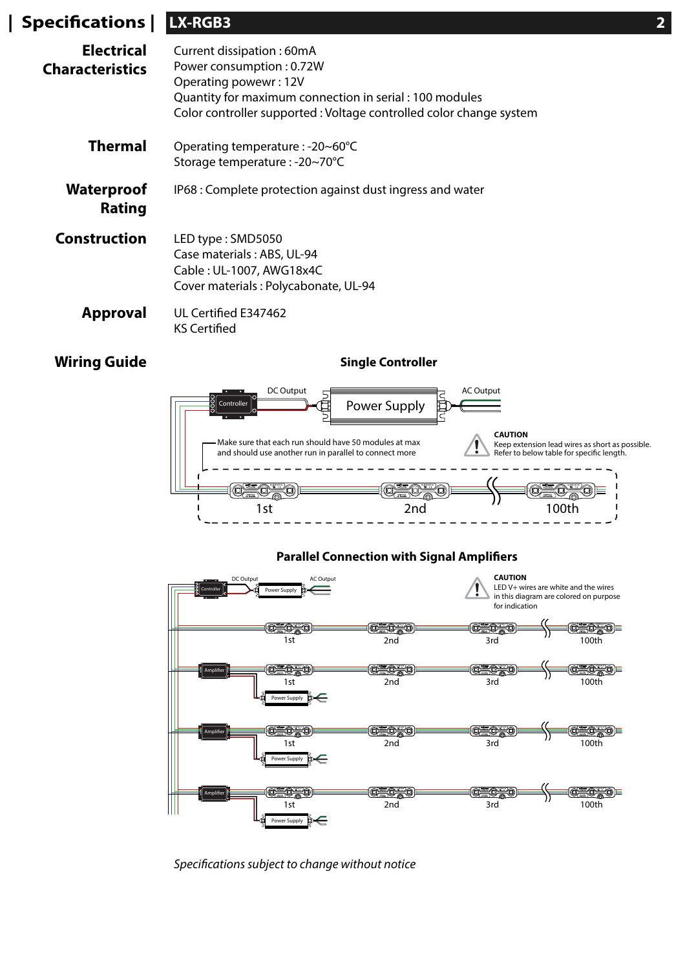| $\mid$ Specifications $\mid$                | LX-RGB3                                                                                                                                                                                                         |  |  |  |
|---------------------------------------------|-----------------------------------------------------------------------------------------------------------------------------------------------------------------------------------------------------------------|--|--|--|
| <b>Electrical</b><br><b>Characteristics</b> | Current dissipation: 60mA<br>Power consumption: 0.72W<br>Operating powewr: 12V<br>Quantity for maximum connection in serial: 100 modules<br>Color controller supported : Voltage controlled color change system |  |  |  |
| <b>Thermal</b>                              | Operating temperature : -20~60°C<br>Storage temperature : -20~70°C                                                                                                                                              |  |  |  |
| <b>Waterproof</b><br><b>Rating</b>          | IP68 : Complete protection against dust ingress and water                                                                                                                                                       |  |  |  |
| <b>Construction</b>                         | LED type: SMD5050<br>Case materials: ABS, UL-94<br>Cable: UL-1007, AWG18x4C<br>Cover materials: Polycabonate, UL-94                                                                                             |  |  |  |
| <b>Approval</b>                             | UL Certified E347462<br><b>KS Certified</b>                                                                                                                                                                     |  |  |  |

## **Wiring Guide**

**Single Controller**



#### **Parallel Connection with Signal Amplifiers**



Specifications subject to change without notice